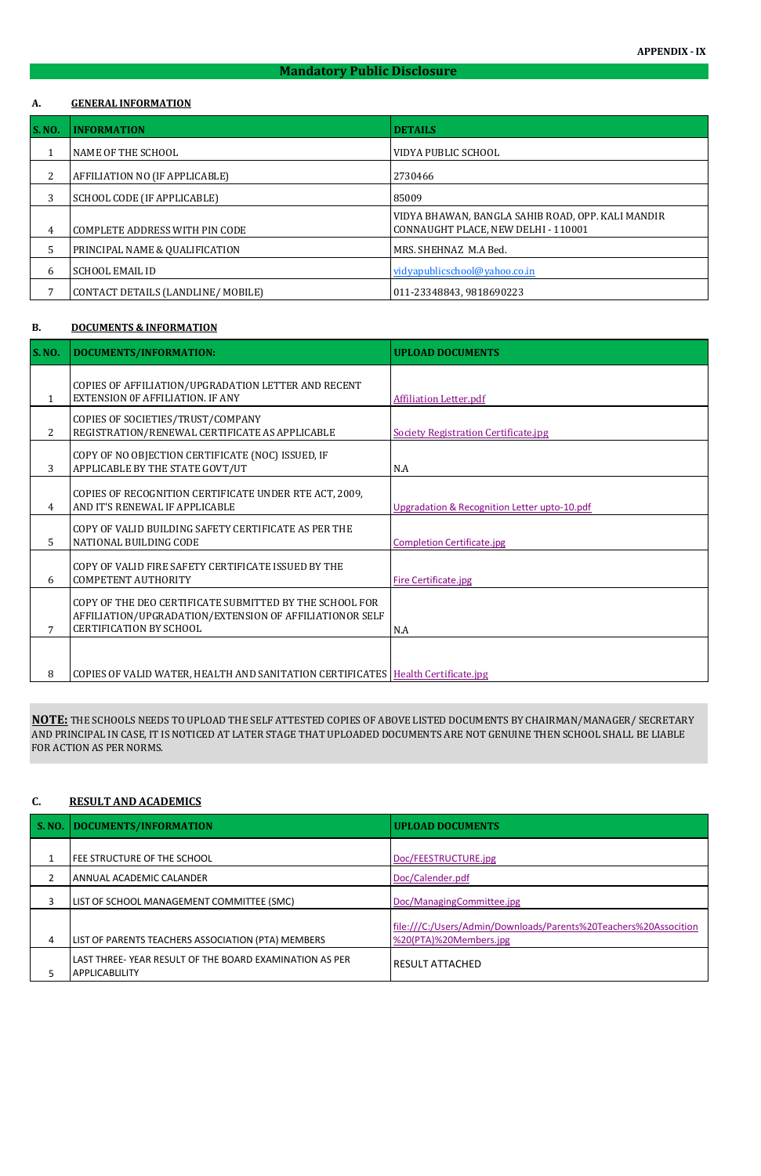## **Mandatory Public Disclosure**

#### **A. GENERAL INFORMATION**

| <b>S. NO.</b> | <b>INFORMATION</b>                        | <b>DETAILS</b>                                                                           |
|---------------|-------------------------------------------|------------------------------------------------------------------------------------------|
|               | NAME OF THE SCHOOL                        | VIDYA PUBLIC SCHOOL                                                                      |
| 2             | AFFILIATION NO (IF APPLICABLE)            | 2730466                                                                                  |
| 3             | SCHOOL CODE (IF APPLICABLE)               | 85009                                                                                    |
| 4             | COMPLETE ADDRESS WITH PIN CODE            | VIDYA BHAWAN, BANGLA SAHIB ROAD, OPP. KALI MANDIR<br>CONNAUGHT PLACE, NEW DELHI - 110001 |
| 5             | <b>PRINCIPAL NAME &amp; QUALIFICATION</b> | MRS. SHEHNAZ M.A Bed.                                                                    |
| 6             | <b>SCHOOL EMAIL ID</b>                    | vidyapublicschool@yahoo.co.in                                                            |
|               | CONTACT DETAILS (LANDLINE/MOBILE)         | 011-23348843, 9818690223                                                                 |

#### **B. DOCUMENTS & INFORMATION**

| S. NO.         | <b>DOCUMENTS/INFORMATION:</b>                                                                                                                        | <b>UPLOAD DOCUMENTS</b>                      |
|----------------|------------------------------------------------------------------------------------------------------------------------------------------------------|----------------------------------------------|
| 1              | COPIES OF AFFILIATION/UPGRADATION LETTER AND RECENT<br>EXTENSION OF AFFILIATION. IF ANY                                                              | <b>Affiliation Letter.pdf</b>                |
| $\overline{2}$ | COPIES OF SOCIETIES/TRUST/COMPANY<br>REGISTRATION/RENEWAL CERTIFICATE AS APPLICABLE                                                                  | <b>Society Registration Certificate.jpg</b>  |
| 3              | COPY OF NO OBJECTION CERTIFICATE (NOC) ISSUED, IF<br>APPLICABLE BY THE STATE GOVT/UT                                                                 | N.A                                          |
| 4              | COPIES OF RECOGNITION CERTIFICATE UNDER RTE ACT, 2009,<br>AND IT'S RENEWAL IF APPLICABLE                                                             | Upgradation & Recognition Letter upto-10.pdf |
| 5              | COPY OF VALID BUILDING SAFETY CERTIFICATE AS PER THE<br>NATIONAL BUILDING CODE                                                                       | <b>Completion Certificate.jpg</b>            |
| 6              | COPY OF VALID FIRE SAFETY CERTIFICATE ISSUED BY THE<br><b>COMPETENT AUTHORITY</b>                                                                    | <b>Fire Certificate.jpg</b>                  |
|                | COPY OF THE DEO CERTIFICATE SUBMITTED BY THE SCHOOL FOR<br>AFFILIATION/UPGRADATION/EXTENSION OF AFFILIATIONOR SELF<br><b>CERTIFICATION BY SCHOOL</b> | N.A                                          |
| 8              | COPIES OF VALID WATER, HEALTH AND SANITATION CERTIFICATES   Health Certificate.jpg                                                                   |                                              |

### **C. RESULT AND ACADEMICS**

|   | S. NO.   DOCUMENTS/INFORMATION                                              | <b>UPLOAD DOCUMENTS</b>                                                                    |
|---|-----------------------------------------------------------------------------|--------------------------------------------------------------------------------------------|
|   | FEE STRUCTURE OF THE SCHOOL                                                 | Doc/FEESTRUCTURE.jpg                                                                       |
|   | ANNUAL ACADEMIC CALANDER                                                    | Doc/Calender.pdf                                                                           |
|   | LIST OF SCHOOL MANAGEMENT COMMITTEE (SMC)                                   | Doc/ManagingCommittee.jpg                                                                  |
| 4 | LIST OF PARENTS TEACHERS ASSOCIATION (PTA) MEMBERS                          | file:///C:/Users/Admin/Downloads/Parents%20Teachers%20Assocition<br>%20(PTA)%20Members.jpg |
|   | LAST THREE- YEAR RESULT OF THE BOARD EXAMINATION AS PER<br>  APPLICABLILITY | <b>RESULT ATTACHED</b>                                                                     |

**NOTE:** THE SCHOOLS NEEDS TO UPLOAD THE SELF ATTESTED COPIES OF ABOVE LISTED DOCUMENTS BY CHAIRMAN/MANAGER/ SECRETARY AND PRINCIPAL IN CASE, IT IS NOTICED AT LATER STAGE THAT UPLOADED DOCUMENTS ARE NOT GENUINE THEN SCHOOL SHALL BE LIABLE FOR ACTION AS PER NORMS.